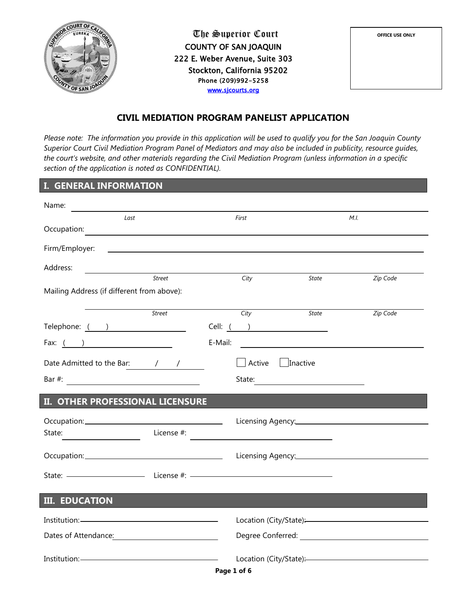

The Superior Court COUNTY OF SAN JOAQUIN 222 E. Weber Avenue, Suite 303 Stockton, California 95202 Phone (209)992-5258 [www.sjcourts.org](http://www.sjcourts.org/) 



# **CIVIL MEDIATION PROGRAM PANELIST APPLICATION**

*Please note: The information you provide in this application will be used to qualify you for the San Joaquin County Superior Court Civil Mediation Program Panel of Mediators and may also be included in publicity, resource guides, the court's website, and other materials regarding the Civil Mediation Program (unless information in a specific section of the application is noted as CONFIDENTIAL).*

# **I. GENERAL INFORMATION**

| Name:                                      |               |                                                                           |                                                                                                                      |                                                                                                                                                                                                                                |
|--------------------------------------------|---------------|---------------------------------------------------------------------------|----------------------------------------------------------------------------------------------------------------------|--------------------------------------------------------------------------------------------------------------------------------------------------------------------------------------------------------------------------------|
| Last                                       |               | First                                                                     |                                                                                                                      | M.I.                                                                                                                                                                                                                           |
| Occupation:                                |               | <u> 1980 - Andrea Station Barbara, actor a component de la componenta</u> |                                                                                                                      |                                                                                                                                                                                                                                |
| Firm/Employer:                             |               | <u> 1989 - Andrea Andrew Maria (h. 1989).</u>                             |                                                                                                                      |                                                                                                                                                                                                                                |
| Address:                                   |               |                                                                           |                                                                                                                      |                                                                                                                                                                                                                                |
|                                            | Street        | City                                                                      | State                                                                                                                | Zip Code                                                                                                                                                                                                                       |
| Mailing Address (if different from above): |               |                                                                           |                                                                                                                      |                                                                                                                                                                                                                                |
|                                            | <b>Street</b> | City                                                                      | <b>State</b>                                                                                                         | Zip Code                                                                                                                                                                                                                       |
| Telephone: ( )                             |               | Cell: <u>( )</u>                                                          |                                                                                                                      |                                                                                                                                                                                                                                |
| Fax: $($ $)$                               |               | E-Mail:                                                                   |                                                                                                                      |                                                                                                                                                                                                                                |
|                                            |               |                                                                           |                                                                                                                      |                                                                                                                                                                                                                                |
| Date Admitted to the Bar: / /              |               | Active                                                                    | $\vert$ Inactive                                                                                                     |                                                                                                                                                                                                                                |
|                                            |               | State:                                                                    | <u> 1980 - Jan Stein Stein Stein Stein Stein Stein Stein Stein Stein Stein Stein Stein Stein Stein Stein Stein S</u> |                                                                                                                                                                                                                                |
| II. OTHER PROFESSIONAL LICENSURE           |               |                                                                           |                                                                                                                      |                                                                                                                                                                                                                                |
|                                            |               |                                                                           |                                                                                                                      |                                                                                                                                                                                                                                |
| State:                                     | License #:    |                                                                           |                                                                                                                      |                                                                                                                                                                                                                                |
|                                            |               |                                                                           |                                                                                                                      |                                                                                                                                                                                                                                |
|                                            |               |                                                                           |                                                                                                                      |                                                                                                                                                                                                                                |
|                                            |               |                                                                           |                                                                                                                      |                                                                                                                                                                                                                                |
|                                            |               |                                                                           |                                                                                                                      |                                                                                                                                                                                                                                |
| <b>III. EDUCATION</b>                      |               |                                                                           |                                                                                                                      |                                                                                                                                                                                                                                |
| Institution:————————————————————           |               |                                                                           |                                                                                                                      | Location (City/State):<br><u>Location</u> (City/State):                                                                                                                                                                        |
|                                            |               |                                                                           |                                                                                                                      | Degree Conferred: University of the University of the University of the University of the University of the University of the University of the University of the University of the University of the University of the Univer |
| Institution:————————————————————           |               |                                                                           |                                                                                                                      | Location (City/State):<br><u>Location</u> (City/State):                                                                                                                                                                        |
|                                            |               | Page 1 of 6                                                               |                                                                                                                      |                                                                                                                                                                                                                                |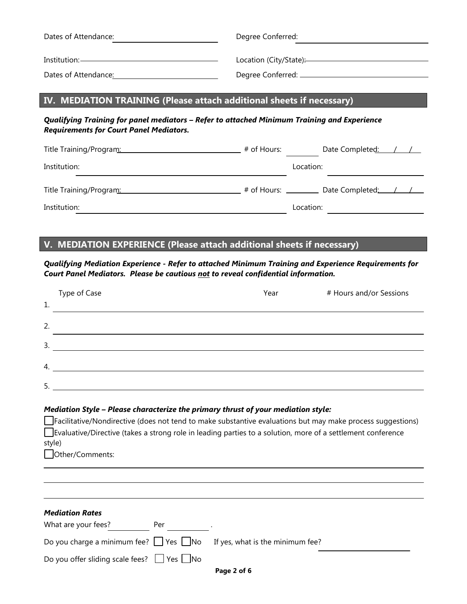| Dates of Attendance: | Degree Conferred:      |
|----------------------|------------------------|
| Institution: –       | Location (City/State): |
|                      |                        |
| Dates of Attendance: | Degree Conferred: _    |

# **IV. MEDIATION TRAINING (Please attach additional sheets if necessary)**

### *Qualifying Training for panel mediators – Refer to attached Minimum Training and Experience Requirements for Court Panel Mediators.*

| Title Training/Program: 1997                      | # of Hours: | Date Completed: / / |
|---------------------------------------------------|-------------|---------------------|
| Institution:                                      |             | Location:           |
| Title Training/Program: Title Training / Program: |             |                     |
| Institution:                                      |             | Location:           |

## **V. MEDIATION EXPERIENCE (Please attach additional sheets if necessary)**

*Qualifying Mediation Experience - Refer to attached Minimum Training and Experience Requirements for Court Panel Mediators. Please be cautious not to reveal confidential information.*

|        | Type of Case                                                                                                                                                                                                                                                                                                           | Year | # Hours and/or Sessions |
|--------|------------------------------------------------------------------------------------------------------------------------------------------------------------------------------------------------------------------------------------------------------------------------------------------------------------------------|------|-------------------------|
| 1.     |                                                                                                                                                                                                                                                                                                                        |      |                         |
| 2.     |                                                                                                                                                                                                                                                                                                                        |      |                         |
|        | $\frac{3}{2}$                                                                                                                                                                                                                                                                                                          |      |                         |
|        | $\mathcal{A} \longrightarrow \mathcal{A}$                                                                                                                                                                                                                                                                              |      |                         |
|        | $5.$ $\frac{1}{2}$ $\frac{1}{2}$ $\frac{1}{2}$ $\frac{1}{2}$ $\frac{1}{2}$ $\frac{1}{2}$ $\frac{1}{2}$ $\frac{1}{2}$ $\frac{1}{2}$ $\frac{1}{2}$ $\frac{1}{2}$ $\frac{1}{2}$ $\frac{1}{2}$ $\frac{1}{2}$ $\frac{1}{2}$ $\frac{1}{2}$ $\frac{1}{2}$ $\frac{1}{2}$ $\frac{1}{2}$ $\frac{1}{2}$ $\frac{1}{2}$ $\frac{1}{$ |      |                         |
|        | Mediation Style - Please characterize the primary thrust of your mediation style:                                                                                                                                                                                                                                      |      |                         |
|        | Facilitative/Nondirective (does not tend to make substantive evaluations but may make process suggestions)                                                                                                                                                                                                             |      |                         |
|        | Evaluative/Directive (takes a strong role in leading parties to a solution, more of a settlement conference                                                                                                                                                                                                            |      |                         |
| style) | Other/Comments:                                                                                                                                                                                                                                                                                                        |      |                         |
|        |                                                                                                                                                                                                                                                                                                                        |      |                         |
|        |                                                                                                                                                                                                                                                                                                                        |      |                         |

| <b>Mediation Rates</b>                                |     |                                                                                    |  |
|-------------------------------------------------------|-----|------------------------------------------------------------------------------------|--|
| What are your fees?                                   | Per |                                                                                    |  |
|                                                       |     | Do you charge a minimum fee? $\Box$ Yes $\Box$ No If yes, what is the minimum fee? |  |
| Do you offer sliding scale fees? $\Box$ Yes $\Box$ No |     |                                                                                    |  |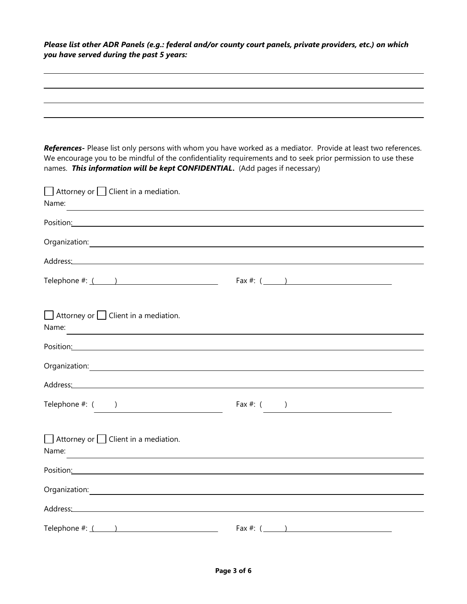*Please list other ADR Panels (e.g.: federal and/or county court panels, private providers, etc.) on which you have served during the past 5 years:*

| names. This information will be kept CONFIDENTIAL. (Add pages if necessary)                                                                                                       | References- Please list only persons with whom you have worked as a mediator. Provide at least two references.<br>We encourage you to be mindful of the confidentiality requirements and to seek prior permission to use these |
|-----------------------------------------------------------------------------------------------------------------------------------------------------------------------------------|--------------------------------------------------------------------------------------------------------------------------------------------------------------------------------------------------------------------------------|
| $\Box$ Attorney or $\Box$ Client in a mediation.<br>Name:                                                                                                                         |                                                                                                                                                                                                                                |
| Position: Position:                                                                                                                                                               |                                                                                                                                                                                                                                |
|                                                                                                                                                                                   |                                                                                                                                                                                                                                |
| Address: Note and the set of the set of the set of the set of the set of the set of the set of the set of the                                                                     |                                                                                                                                                                                                                                |
| Telephone $\#:\underline{(\qquad)}$                                                                                                                                               |                                                                                                                                                                                                                                |
| $\Box$ Attorney or $\Box$ Client in a mediation.<br>Name:<br><u> 1989 - Johann Stein, marwolaethau a bhann an t-Amhair an t-Amhair an t-Amhair an t-Amhair an t-Amhair an t-A</u> |                                                                                                                                                                                                                                |
| Position: Position:                                                                                                                                                               |                                                                                                                                                                                                                                |
|                                                                                                                                                                                   |                                                                                                                                                                                                                                |
|                                                                                                                                                                                   |                                                                                                                                                                                                                                |
| Telephone $#:$ $($                                                                                                                                                                | Fax #: $($ )                                                                                                                                                                                                                   |
| $\Box$ Attorney or $\Box$ Client in a mediation.<br>Name:                                                                                                                         |                                                                                                                                                                                                                                |
| Position: Position:                                                                                                                                                               |                                                                                                                                                                                                                                |
|                                                                                                                                                                                   |                                                                                                                                                                                                                                |
|                                                                                                                                                                                   |                                                                                                                                                                                                                                |
|                                                                                                                                                                                   | Fax #: $($ \[ \]                                                                                                                                                                                                               |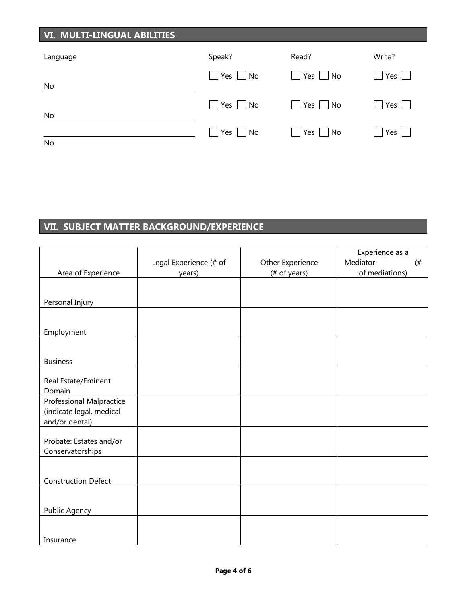| <b>VI. MULTI-LINGUAL ABILITIES</b> |                      |                              |                                   |
|------------------------------------|----------------------|------------------------------|-----------------------------------|
| Language                           | Speak?               | Read?                        | Write?                            |
|                                    | $ $   Yes     No     | Yes     No                   | $\overline{1}$ Yes $\overline{1}$ |
| No                                 | Yes   No             | $Yes$   No<br>$\blacksquare$ | $ $ Yes $ $ $ $                   |
| No                                 |                      |                              |                                   |
| No                                 | $Yes \mid No$<br>l 1 | $Yes \mid \text{No}$         | Yes $\vert \ \vert$               |

# **VII. SUBJECT MATTER BACKGROUND/EXPERIENCE**

|                                 |                        |                  | Experience as a   |
|---------------------------------|------------------------|------------------|-------------------|
|                                 | Legal Experience (# of | Other Experience | Mediator<br>$($ # |
| Area of Experience              | years)                 | (# of years)     | of mediations)    |
|                                 |                        |                  |                   |
|                                 |                        |                  |                   |
| Personal Injury                 |                        |                  |                   |
|                                 |                        |                  |                   |
|                                 |                        |                  |                   |
| Employment                      |                        |                  |                   |
|                                 |                        |                  |                   |
| <b>Business</b>                 |                        |                  |                   |
|                                 |                        |                  |                   |
| Real Estate/Eminent             |                        |                  |                   |
| Domain                          |                        |                  |                   |
| <b>Professional Malpractice</b> |                        |                  |                   |
| (indicate legal, medical        |                        |                  |                   |
| and/or dental)                  |                        |                  |                   |
|                                 |                        |                  |                   |
| Probate: Estates and/or         |                        |                  |                   |
| Conservatorships                |                        |                  |                   |
|                                 |                        |                  |                   |
|                                 |                        |                  |                   |
| <b>Construction Defect</b>      |                        |                  |                   |
|                                 |                        |                  |                   |
|                                 |                        |                  |                   |
| Public Agency                   |                        |                  |                   |
|                                 |                        |                  |                   |
|                                 |                        |                  |                   |
| Insurance                       |                        |                  |                   |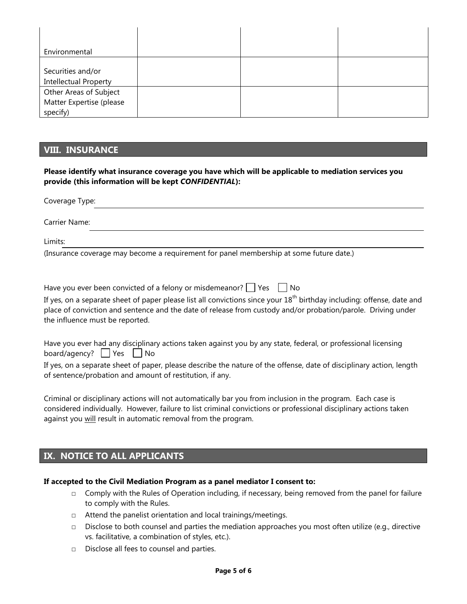| Environmental                                     |  |  |
|---------------------------------------------------|--|--|
|                                                   |  |  |
| Securities and/or<br><b>Intellectual Property</b> |  |  |
| Other Areas of Subject                            |  |  |
| Matter Expertise (please<br>specify)              |  |  |

## **VIII. INSURANCE**

**Please identify what insurance coverage you have which will be applicable to mediation services you provide (this information will be kept** *CONFIDENTIAL***):**

| Coverage Type: |                                                                                         |  |
|----------------|-----------------------------------------------------------------------------------------|--|
| Carrier Name:  |                                                                                         |  |
| Limits:        |                                                                                         |  |
|                | (Insurance coverage may become a requirement for panel membership at some future date.) |  |

| Have you ever been convicted of a felony or misdemeanor? $\vert$   Yes     No                                                                   |
|-------------------------------------------------------------------------------------------------------------------------------------------------|
| If yes, on a separate sheet of paper please list all convictions since your 18 <sup>th</sup> birthday including: offense, date and              |
| place of conviction and sentence and the date of release from custody and/or probation/parole. Driving under<br>the influence must be reported. |
|                                                                                                                                                 |

Have you ever had any disciplinary actions taken against you by any state, federal, or professional licensing board/agency?  $\Box$  Yes  $\Box$  No

If yes, on a separate sheet of paper, please describe the nature of the offense, date of disciplinary action, length of sentence/probation and amount of restitution, if any.

Criminal or disciplinary actions will not automatically bar you from inclusion in the program. Each case is considered individually. However, failure to list criminal convictions or professional disciplinary actions taken against you will result in automatic removal from the program.

# **IX. NOTICE TO ALL APPLICANTS**

#### **If accepted to the Civil Mediation Program as a panel mediator I consent to:**

- $\Box$  Comply with the Rules of Operation including, if necessary, being removed from the panel for failure to comply with the Rules.
- □ Attend the panelist orientation and local trainings/meetings.
- □ Disclose to both counsel and parties the mediation approaches you most often utilize (e.g., directive vs. facilitative, a combination of styles, etc.).
- □ Disclose all fees to counsel and parties.